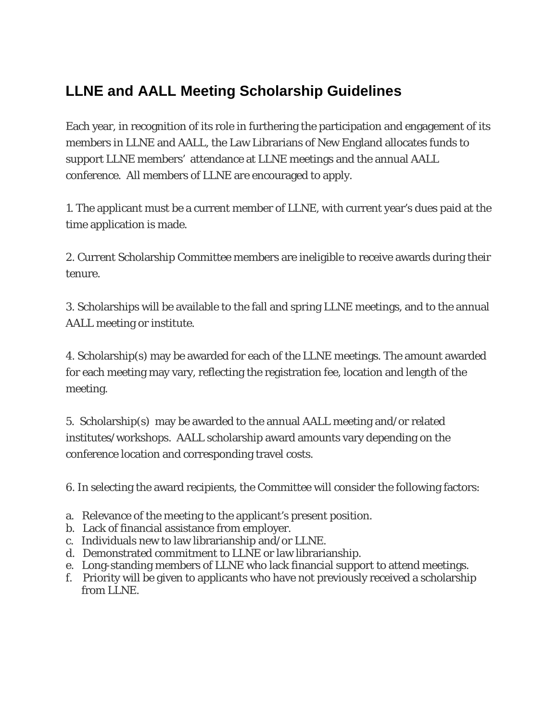## **LLNE and AALL Meeting Scholarship Guidelines**

Each year, in recognition of its role in furthering the participation and engagement of its members in LLNE and AALL, the Law Librarians of New England allocates funds to support LLNE members' attendance at LLNE meetings and the annual AALL conference. All members of LLNE are encouraged to apply.

1. The applicant must be a current member of LLNE, with current year's dues paid at the time application is made.

2. Current Scholarship Committee members are ineligible to receive awards during their tenure.

3. Scholarships will be available to the fall and spring LLNE meetings, and to the annual AALL meeting or institute.

4. Scholarship(s) may be awarded for each of the LLNE meetings. The amount awarded for each meeting may vary, reflecting the registration fee, location and length of the meeting.

5. Scholarship(s) may be awarded to the annual AALL meeting and/or related institutes/workshops. AALL scholarship award amounts vary depending on the conference location and corresponding travel costs.

6. In selecting the award recipients, the Committee will consider the following factors:

- a. Relevance of the meeting to the applicant's present position.
- b. Lack of financial assistance from employer.
- c. Individuals new to law librarianship and/or LLNE.
- d. Demonstrated commitment to LLNE or law librarianship.
- e. Long-standing members of LLNE who lack financial support to attend meetings.
- f. Priority will be given to applicants who have not previously received a scholarship from LLNE.